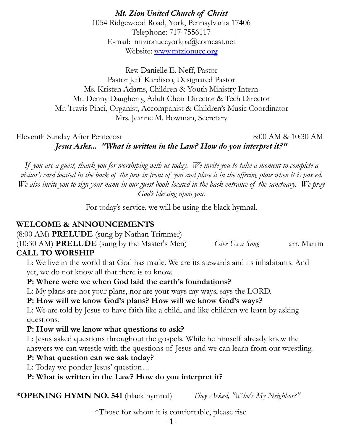*Mt. Zion United Church of Christ* 1054 Ridgewood Road, York, Pennsylvania 17406 Telephone: 717-7556117 E-mail: mtzionuccyorkpa@comcast.net Website: [www.mtzionucc.org](http://www.mtzionucc.org)

Rev. Danielle E. Neff, Pastor Pastor Jeff Kardisco, Designated Pastor Ms. Kristen Adams, Children & Youth Ministry Intern Mr. Denny Daugherty, Adult Choir Director & Tech Director Mr. Travis Pinci, Organist, Accompanist & Children's Music Coordinator Mrs. Jeanne M. Bowman, Secretary

#### Eleventh Sunday After Pentecost 8:00 AM & 10:30 AM

*Jesus Asks... "What is written in the Law? How do you interpret it?"* 

*If you are a guest, thank you for worshiping with us today. We invite you to take a moment to complete a visitor's card located in the back of the pew in front of you and place it in the offering plate when it is passed. We also invite you to sign your name in our guest book located in the back entrance of the sanctuary. We pray God's blessing upon you.* 

For today's service, we will be using the black hymnal.

### **WELCOME & ANNOUNCEMENTS**

(8:00 AM) **PRELUDE** (sung by Nathan Trimmer)

(10:30 AM) **PRELUDE** (sung by the Master's Men) *Give Us a Song* arr. Martin **CALL TO WORSHIP**

 L: We live in the world that God has made. We are its stewards and its inhabitants. And yet, we do not know all that there is to know.

### **P: Where were we when God laid the earth's foundations?**

L: My plans are not your plans, nor are your ways my ways, says the LORD.

### **P: How will we know God's plans? How will we know God's ways?**

 L: We are told by Jesus to have faith like a child, and like children we learn by asking questions.

### **P: How will we know what questions to ask?**

 L: Jesus asked questions throughout the gospels. While he himself already knew the answers we can wrestle with the questions of Jesus and we can learn from our wrestling.

### **P: What question can we ask today?**

L: Today we ponder Jesus' question…

 **P: What is written in the Law? How do you interpret it?** 

**\*OPENING HYMN NO. 541** (black hymnal)*They Asked, "Who's My Neighbor?"* 

\*Those for whom it is comfortable, please rise.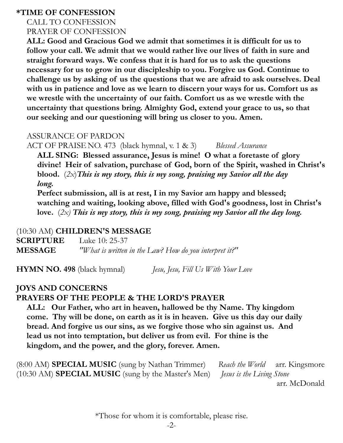#### **\*TIME OF CONFESSION**

#### CALL TO CONFESSION PRAYER OF CONFESSION

 **ALL: Good and Gracious God we admit that sometimes it is difficult for us to follow your call. We admit that we would rather live our lives of faith in sure and straight forward ways. We confess that it is hard for us to ask the questions necessary for us to grow in our discipleship to you. Forgive us God. Continue to challenge us by asking of us the questions that we are afraid to ask ourselves. Deal with us in patience and love as we learn to discern your ways for us. Comfort us as we wrestle with the uncertainty of our faith. Comfort us as we wrestle with the uncertainty that questions bring. Almighty God, extend your grace to us, so that our seeking and our questioning will bring us closer to you. Amen.** 

#### ASSURANCE OF PARDON

ACT OF PRAISE NO. 473 (black hymnal, v. 1 & 3) *Blessed Assurance* 

 **ALL SING: Blessed assurance, Jesus is mine! O what a foretaste of glory divine! Heir of salvation, purchase of God, born of the Spirit, washed in Christ's blood.** (*2x*)*This is my story, this is my song, praising my Savior all the day long.*

 **Perfect submission, all is at rest, I in my Savior am happy and blessed; watching and waiting, looking above, filled with God's goodness, lost in Christ's love.** (*2x) This is my story, this is my song, praising my Savior all the day long.*

### (10:30 AM) **CHILDREN'S MESSAGE**

**SCRIPTURE** Luke 10: 25-37 **MESSAGE** *"What is written in the Law? How do you interpret it?"* 

**HYMN NO. 498** (black hymnal)*Jesu, Jesu, Fill Us With Your Love* 

# **JOYS AND CONCERNS PRAYERS OF THE PEOPLE & THE LORD'S PRAYER**

 **ALL: Our Father, who art in heaven, hallowed be thy Name. Thy kingdom come. Thy will be done, on earth as it is in heaven. Give us this day our daily bread. And forgive us our sins, as we forgive those who sin against us. And lead us not into temptation, but deliver us from evil. For thine is the kingdom, and the power, and the glory, forever. Amen.** 

(8:00 AM) **SPECIAL MUSIC** (sung by Nathan Trimmer) *Reach the World* arr. Kingsmore (10:30 AM) **SPECIAL MUSIC** (sung by the Master's Men) *Jesus is the Living Stone* arr. McDonald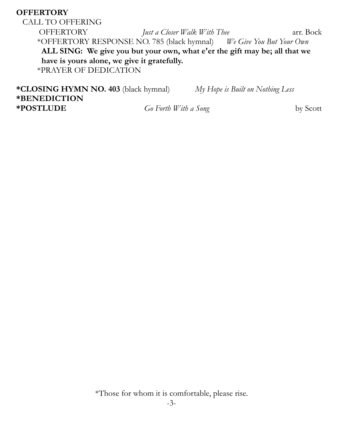## **OFFERTORY**

CALL TO OFFERING OFFERTORY *Just a Closer Walk With Thee* arr. Bock \*OFFERTORY RESPONSE NO. 785 (black hymnal) *We Give You But Your Own* **ALL SING: We give you but your own, what e'er the gift may be; all that we have is yours alone, we give it gratefully.** \*PRAYER OF DEDICATION

**\*CLOSING HYMN NO. 403** (black hymnal) *My Hope is Built on Nothing Less*  **\*BENEDICTION \*POSTLUDE** *Go Forth With a Song* by Scott

\*Those for whom it is comfortable, please rise.